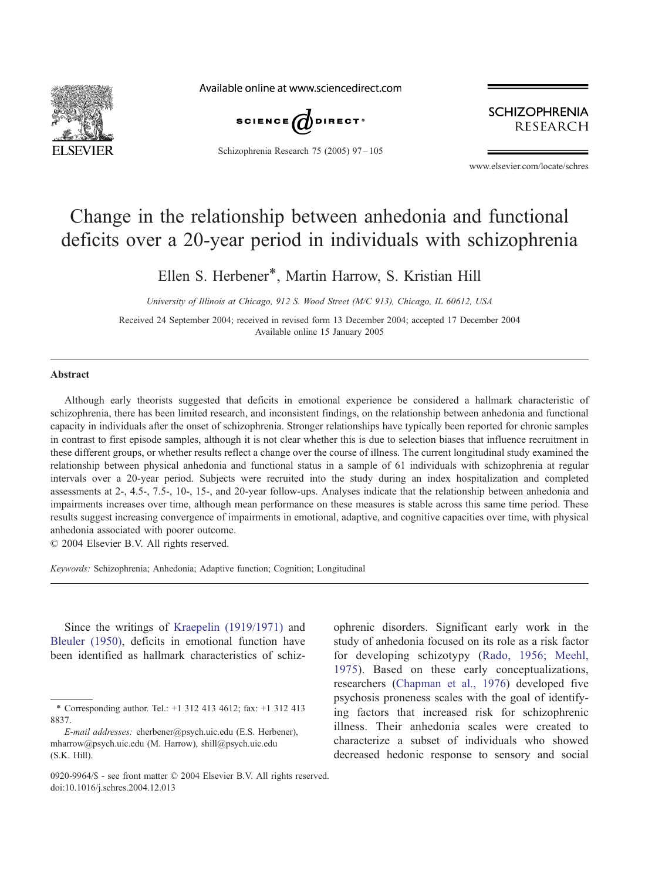

Available online at www.sciencedirect.com



Schizophrenia Research 75 (2005) 97-105

**SCHIZOPHRENIA RESEARCH** 

www.elsevier.com/locate/schres

## Change in the relationship between anhedonia and functional deficits over a 20-year period in individuals with schizophrenia

Ellen S. Herbener\*, Martin Harrow, S. Kristian Hill

University of Illinois at Chicago, 912 S. Wood Street (M/C 913), Chicago, IL 60612, USA

Received 24 September 2004; received in revised form 13 December 2004; accepted 17 December 2004 Available online 15 January 2005

### Abstract

Although early theorists suggested that deficits in emotional experience be considered a hallmark characteristic of schizophrenia, there has been limited research, and inconsistent findings, on the relationship between anhedonia and functional capacity in individuals after the onset of schizophrenia. Stronger relationships have typically been reported for chronic samples in contrast to first episode samples, although it is not clear whether this is due to selection biases that influence recruitment in these different groups, or whether results reflect a change over the course of illness. The current longitudinal study examined the relationship between physical anhedonia and functional status in a sample of 61 individuals with schizophrenia at regular intervals over a 20-year period. Subjects were recruited into the study during an index hospitalization and completed assessments at 2-, 4.5-, 7.5-, 10-, 15-, and 20-year follow-ups. Analyses indicate that the relationship between anhedonia and impairments increases over time, although mean performance on these measures is stable across this same time period. These results suggest increasing convergence of impairments in emotional, adaptive, and cognitive capacities over time, with physical anhedonia associated with poorer outcome.

 $\odot$  2004 Elsevier B.V. All rights reserved.

Keywords: Schizophrenia; Anhedonia; Adaptive function; Cognition; Longitudinal

Since the writings of [Kraepelin \(1919/1971\)](#page--1-0) and [Bleuler \(1950\),](#page--1-0) deficits in emotional function have been identified as hallmark characteristics of schiz-

<sup>\*</sup> Corresponding author. Tel.: +1 312 413 4612; fax: +1 312 413 8837.

E-mail addresses: eherbener@psych.uic.edu (E.S. Herbener), mharrow@psych.uic.edu (M. Harrow), shill@psych.uic.edu (S.K. Hill).

ophrenic disorders. Significant early work in the study of anhedonia focused on its role as a risk factor for developing schizotypy ([Rado, 1956; Meehl,](#page--1-0) 1975). Based on these early conceptualizations, researchers ([Chapman et al., 1976\)](#page--1-0) developed five psychosis proneness scales with the goal of identifying factors that increased risk for schizophrenic illness. Their anhedonia scales were created to characterize a subset of individuals who showed decreased hedonic response to sensory and social

<sup>0920-9964/\$ -</sup> see front matter  $\odot$  2004 Elsevier B.V. All rights reserved. doi:10.1016/j.schres.2004.12.013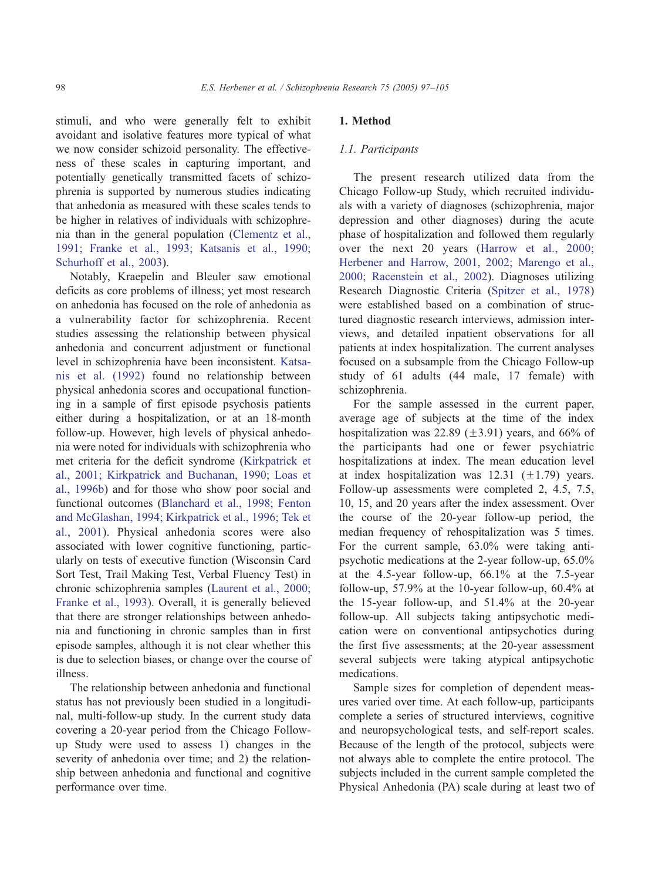stimuli, and who were generally felt to exhibit avoidant and isolative features more typical of what we now consider schizoid personality. The effectiveness of these scales in capturing important, and potentially genetically transmitted facets of schizophrenia is supported by numerous studies indicating that anhedonia as measured with these scales tends to be higher in relatives of individuals with schizophrenia than in the general population ([Clementz et al.,](#page--1-0) 1991; Franke et al., 1993; Katsanis et al., 1990; Schurhoff et al., 2003).

Notably, Kraepelin and Bleuler saw emotional deficits as core problems of illness; yet most research on anhedonia has focused on the role of anhedonia as a vulnerability factor for schizophrenia. Recent studies assessing the relationship between physical anhedonia and concurrent adjustment or functional level in schizophrenia have been inconsistent. [Katsa](#page--1-0)nis et al. (1992) found no relationship between physical anhedonia scores and occupational functioning in a sample of first episode psychosis patients either during a hospitalization, or at an 18-month follow-up. However, high levels of physical anhedonia were noted for individuals with schizophrenia who met criteria for the deficit syndrome ([Kirkpatrick et](#page--1-0) al., 2001; Kirkpatrick and Buchanan, 1990; Loas et al., 1996b) and for those who show poor social and functional outcomes ([Blanchard et al., 1998; Fenton](#page--1-0) and McGlashan, 1994; Kirkpatrick et al., 1996; Tek et al., 2001). Physical anhedonia scores were also associated with lower cognitive functioning, particularly on tests of executive function (Wisconsin Card Sort Test, Trail Making Test, Verbal Fluency Test) in chronic schizophrenia samples ([Laurent et al., 2000;](#page--1-0) Franke et al., 1993). Overall, it is generally believed that there are stronger relationships between anhedonia and functioning in chronic samples than in first episode samples, although it is not clear whether this is due to selection biases, or change over the course of illness.

The relationship between anhedonia and functional status has not previously been studied in a longitudinal, multi-follow-up study. In the current study data covering a 20-year period from the Chicago Followup Study were used to assess 1) changes in the severity of anhedonia over time; and 2) the relationship between anhedonia and functional and cognitive performance over time.

## 1. Method

### 1.1. Participants

The present research utilized data from the Chicago Follow-up Study, which recruited individuals with a variety of diagnoses (schizophrenia, major depression and other diagnoses) during the acute phase of hospitalization and followed them regularly over the next 20 years ([Harrow et al., 2000;](#page--1-0) Herbener and Harrow, 2001, 2002; Marengo et al., 2000; Racenstein et al., 2002). Diagnoses utilizing Research Diagnostic Criteria ([Spitzer et al., 1978\)](#page--1-0) were established based on a combination of structured diagnostic research interviews, admission interviews, and detailed inpatient observations for all patients at index hospitalization. The current analyses focused on a subsample from the Chicago Follow-up study of 61 adults (44 male, 17 female) with schizophrenia.

For the sample assessed in the current paper, average age of subjects at the time of the index hospitalization was 22.89  $(\pm 3.91)$  years, and 66% of the participants had one or fewer psychiatric hospitalizations at index. The mean education level at index hospitalization was  $12.31$  ( $\pm 1.79$ ) years. Follow-up assessments were completed 2, 4.5, 7.5, 10, 15, and 20 years after the index assessment. Over the course of the 20-year follow-up period, the median frequency of rehospitalization was 5 times. For the current sample, 63.0% were taking antipsychotic medications at the 2-year follow-up, 65.0% at the 4.5-year follow-up, 66.1% at the 7.5-year follow-up, 57.9% at the 10-year follow-up, 60.4% at the 15-year follow-up, and 51.4% at the 20-year follow-up. All subjects taking antipsychotic medication were on conventional antipsychotics during the first five assessments; at the 20-year assessment several subjects were taking atypical antipsychotic medications.

Sample sizes for completion of dependent measures varied over time. At each follow-up, participants complete a series of structured interviews, cognitive and neuropsychological tests, and self-report scales. Because of the length of the protocol, subjects were not always able to complete the entire protocol. The subjects included in the current sample completed the Physical Anhedonia (PA) scale during at least two of